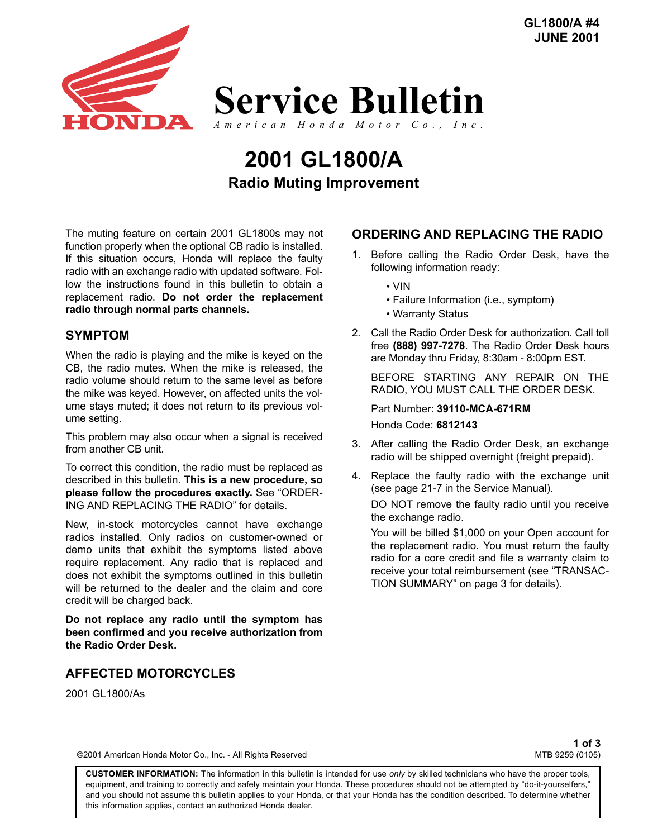

# **Radio Muting Improvement 2001 GL1800/A**

The muting feature on certain 2001 GL1800s may not function properly when the optional CB radio is installed. If this situation occurs, Honda will replace the faulty radio with an exchange radio with updated software. Follow the instructions found in this bulletin to obtain a replacement radio. **Do not order the replacement radio through normal parts channels.** 

## **SYMPTOM**

When the radio is playing and the mike is keyed on the CB, the radio mutes. When the mike is released, the radio volume should return to the same level as before the mike was keyed. However, on affected units the volume stays muted; it does not return to its previous volume setting.

This problem may also occur when a signal is received from another CB unit.

To correct this condition, the radio must be replaced as described in this bulletin. **This is a new procedure, so** please follow the procedures exactly. See "ORDER-ING AND REPLACING THE RADIO" for details.

New, in-stock motorcycles cannot have exchange radios installed. Only radios on customer-owned or demo units that exhibit the symptoms listed above require replacement. Any radio that is replaced and does not exhibit the symptoms outlined in this bulletin will be returned to the dealer and the claim and core credit will be charged back.

**Do not replace any radio until the symptom has been confirmed and you receive authorization from the Radio Order Desk.**

# **AFFECTED MOTORCYCLES**

2001 GL1800/As

# **ORDERING AND REPLACING THE RADIO**

- 1. Before calling the Radio Order Desk, have the following information ready:
	- ï VIN
	- Failure Information (i.e., symptom)
	- Warranty Status
- 2. Call the Radio Order Desk for authorization. Call toll free **(888) 997-7278**. The Radio Order Desk hours are Monday thru Friday, 8:30am - 8:00pm EST.

BEFORE STARTING ANY REPAIR ON THE RADIO, YOU MUST CALL THE ORDER DESK.

Part Number: **39110-MCA-671RM** Honda Code: **6812143**

- 3. After calling the Radio Order Desk, an exchange radio will be shipped overnight (freight prepaid).
- 4. Replace the faulty radio with the exchange unit (see page 21-7 in the Service Manual).

DO NOT remove the faulty radio until you receive the exchange radio.

You will be billed \$1,000 on your Open account for the replacement radio. You must return the faulty radio for a core credit and file a warranty claim to receive your total reimbursement (see "TRANSAC-TION SUMMARY" on page 3 for details).

**1 of 3**<br>MTB 9259 (0105)

©2001 American Honda Motor Co., Inc. - All Rights Reserved

**CUSTOMER INFORMATION:** The information in this bulletin is intended for use *only* by skilled technicians who have the proper tools, equipment, and training to correctly and safely maintain your Honda. These procedures should not be attempted by "do-it-yourselfers," and you should not assume this bulletin applies to your Honda, or that your Honda has the condition described. To determine whether this information applies, contact an authorized Honda dealer.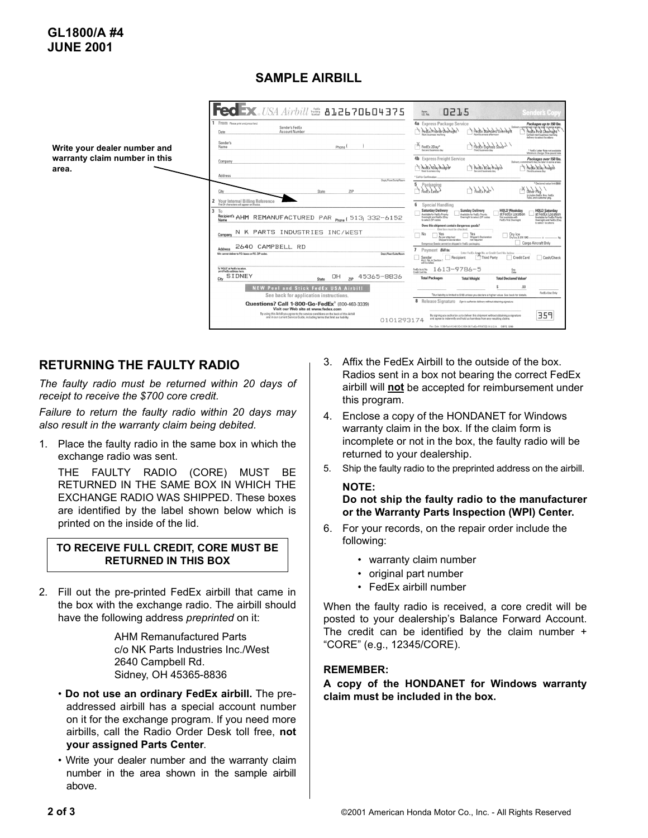# **SAMPLE AIRBILL**



## **RETURNING THE FAULTY RADIO**

*The faulty radio must be returned within 20 days of receipt to receive the \$700 core credit.*

*Failure to return the faulty radio within 20 days may also result in the warranty claim being debited.*

1. Place the faulty radio in the same box in which the exchange radio was sent.

THE FAULTY RADIO (CORE) MUST BE RETURNED IN THE SAME BOX IN WHICH THE EXCHANGE RADIO WAS SHIPPED. These boxes are identified by the label shown below which is printed on the inside of the lid.

#### **TO RECEIVE FULL CREDIT, CORE MUST BE RETURNED IN THIS BOX**

2. Fill out the pre-printed FedEx airbill that came in the box with the exchange radio. The airbill should have the following address *preprinted* on it:

> AHM Remanufactured Parts c/o NK Parts Industries Inc./West 2640 Campbell Rd. Sidney, OH 45365-8836

- $\cdot$  Do not use an ordinary FedEx airbill. The preaddressed airbill has a special account number on it for the exchange program. If you need more airbills, call the Radio Order Desk toll free, **not your assigned Parts Center**.
- Write your dealer number and the warranty claim number in the area shown in the sample airbill above.
- 3. Affix the FedEx Airbill to the outside of the box. Radios sent in a box not bearing the correct FedEx airbill will **not** be accepted for reimbursement under this program.
- 4. Enclose a copy of the HONDANET for Windows warranty claim in the box. If the claim form is incomplete or not in the box, the faulty radio will be returned to your dealership.
- 5. Ship the faulty radio to the preprinted address on the airbill. **NOTE:**

**Do not ship the faulty radio to the manufacturer or the Warranty Parts Inspection (WPI) Center.** 

- 6. For your records, on the repair order include the following:
	- warranty claim number
	- original part number
	- FedEx airbill number

When the faulty radio is received, a core credit will be posted to your dealership's Balance Forward Account. The credit can be identified by the claim number + ìCOREî (e.g., 12345/CORE).

#### **REMEMBER:**

**A copy of the HONDANET for Windows warranty claim must be included in the box.**